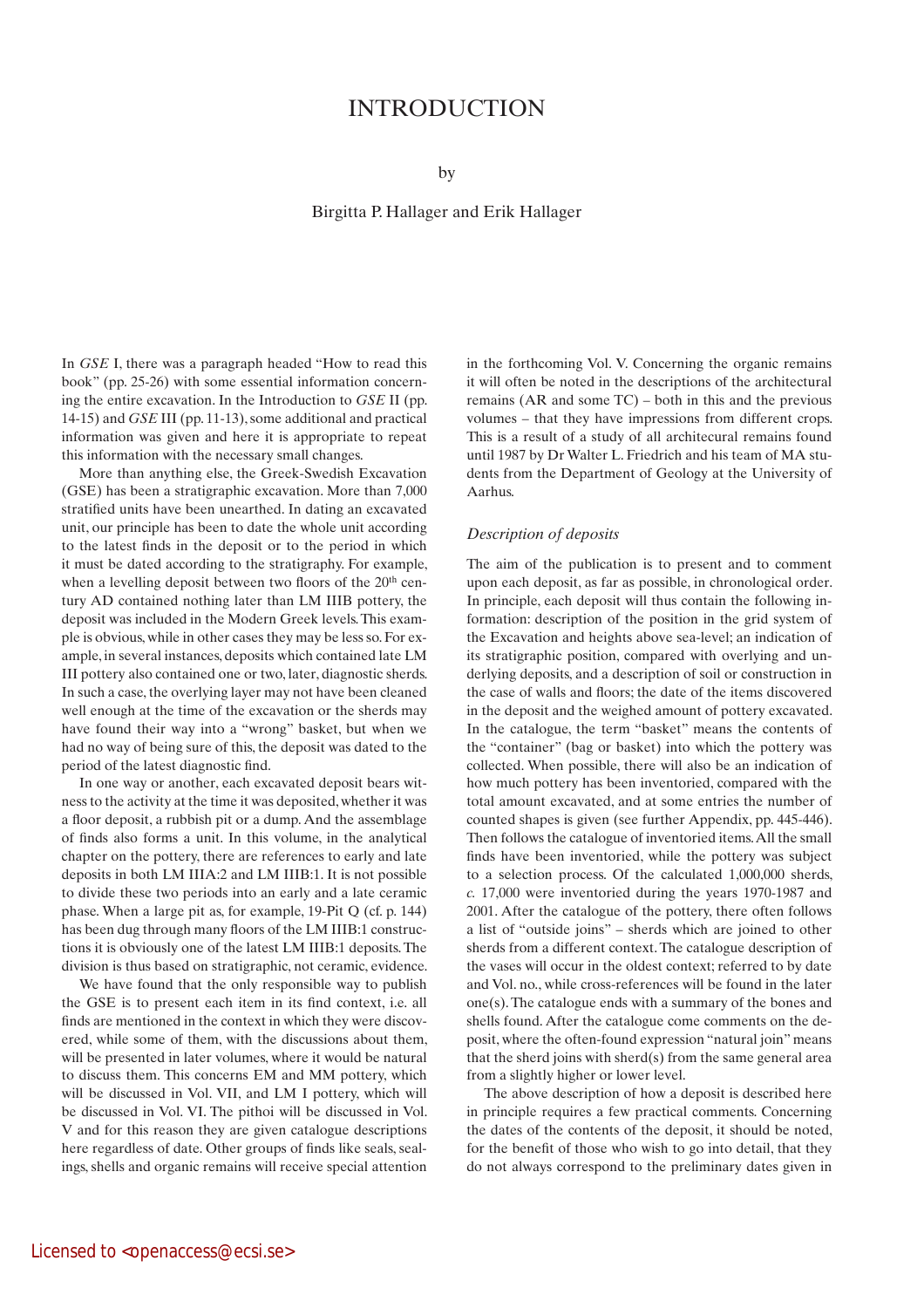# **INTRODUCTION**

by

# Birgitta P. Hallager and Erik Hallager

In *GSE* I, there was a paragraph headed "How to read this book" (pp. 25-26) with some essential information concerning the entire excavation. In the Introduction to *GSE* II (pp. 14-15) and *GSE* III (pp. 11-13), some additional and practical information was given and here it is appropriate to repeat this information with the necessary small changes.

More than anything else, the Greek-Swedish Excavation (GSE) has been a stratigraphic excavation. More than 7,000 stratified units have been unearthed. In dating an excavated unit, our principle has been to date the whole unit according to the latest finds in the deposit or to the period in which it must be dated according to the stratigraphy. For example, when a levelling deposit between two floors of the 20<sup>th</sup> century AD contained nothing later than LM IIIB pottery, the deposit was included in the Modern Greek levels. This example is obvious, while in other cases they may be less so. For example, in several instances, deposits which contained late LM III pottery also contained one or two, later, diagnostic sherds. In such a case, the overlying layer may not have been cleaned well enough at the time of the excavation or the sherds may have found their way into a "wrong" basket, but when we had no way of being sure of this, the deposit was dated to the period of the latest diagnostic find.

In one way or another, each excavated deposit bears witness to the activity at the time it was deposited, whether it was a floor deposit, a rubbish pit or a dump. And the assemblage of finds also forms a unit. In this volume, in the analytical chapter on the pottery, there are references to early and late deposits in both LM IIIA:2 and LM IIIB:1. It is not possible to divide these two periods into an early and a late ceramic phase. When a large pit as, for example, 19-Pit Q (cf. p. 144) has been dug through many floors of the LM IIIB:1 constructions it is obviously one of the latest LM IIIB:1 deposits. The division is thus based on stratigraphic, not ceramic, evidence.

We have found that the only responsible way to publish the GSE is to present each item in its find context, i.e. all finds are mentioned in the context in which they were discovered, while some of them, with the discussions about them, will be presented in later volumes, where it would be natural to discuss them. This concerns EM and MM pottery, which will be discussed in Vol. VII, and LM I pottery, which will be discussed in Vol. VI. The pithoi will be discussed in Vol. V and for this reason they are given catalogue descriptions here regardless of date. Other groups of finds like seals, sealings, shells and organic remains will receive special attention in the forthcoming Vol. V. Concerning the organic remains it will often be noted in the descriptions of the architectural remains (AR and some TC) – both in this and the previous volumes – that they have impressions from different crops. This is a result of a study of all architecural remains found until 1987 by Dr Walter L. Friedrich and his team of MA students from the Department of Geology at the University of Aarhus.

### *Description of deposits*

The aim of the publication is to present and to comment upon each deposit, as far as possible, in chronological order. In principle, each deposit will thus contain the following information: description of the position in the grid system of the Excavation and heights above sea-level; an indication of its stratigraphic position, compared with overlying and underlying deposits, and a description of soil or construction in the case of walls and floors; the date of the items discovered in the deposit and the weighed amount of pottery excavated. In the catalogue, the term "basket" means the contents of the "container" (bag or basket) into which the pottery was collected. When possible, there will also be an indication of how much pottery has been inventoried, compared with the total amount excavated, and at some entries the number of counted shapes is given (see further Appendix, pp. 445-446). Then follows the catalogue of inventoried items. All the small finds have been inventoried, while the pottery was subject to a selection process. Of the calculated 1,000,000 sherds, *c.* 17,000 were inventoried during the years 1970-1987 and 2001. After the catalogue of the pottery, there often follows a list of "outside joins" – sherds which are joined to other sherds from a different context. The catalogue description of the vases will occur in the oldest context; referred to by date and Vol. no., while cross-references will be found in the later one(s). The catalogue ends with a summary of the bones and shells found. After the catalogue come comments on the deposit, where the often-found expression "natural join" means that the sherd joins with sherd(s) from the same general area from a slightly higher or lower level.

The above description of how a deposit is described here in principle requires a few practical comments. Concerning the dates of the contents of the deposit, it should be noted, for the benefit of those who wish to go into detail, that they do not always correspond to the preliminary dates given in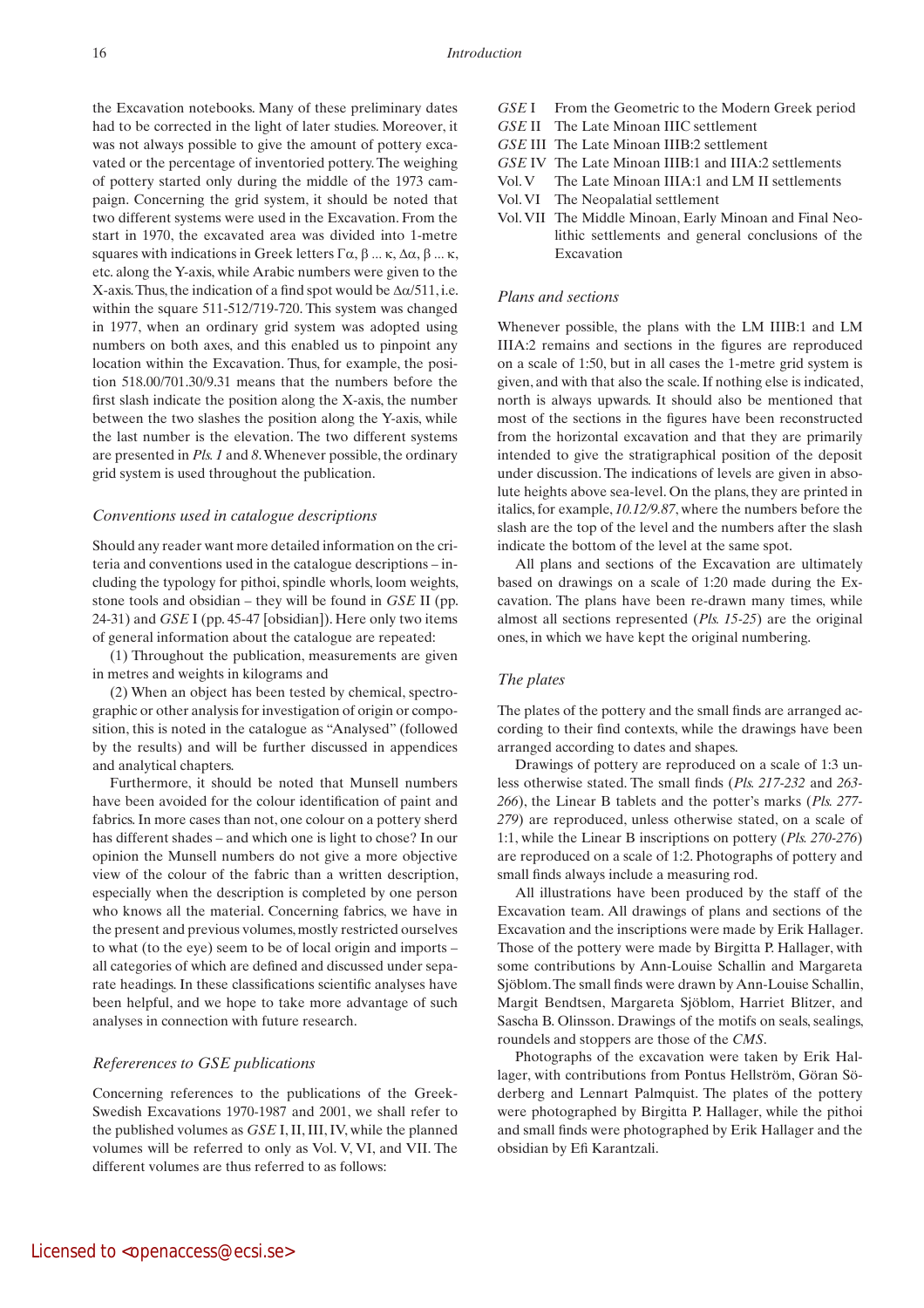the Excavation notebooks. Many of these preliminary dates had to be corrected in the light of later studies. Moreover, it was not always possible to give the amount of pottery excavated or the percentage of inventoried pottery. The weighing of pottery started only during the middle of the 1973 campaign. Concerning the grid system, it should be noted that two different systems were used in the Excavation. From the start in 1970, the excavated area was divided into 1-metre squares with indications in Greek letters Γα, β ... κ, Δα, β ... κ, etc. along the Y-axis, while Arabic numbers were given to the X-axis. Thus, the indication of a find spot would be  $\Delta \alpha/511$ , i.e. within the square 511-512/719-720. This system was changed in 1977, when an ordinary grid system was adopted using numbers on both axes, and this enabled us to pinpoint any location within the Excavation. Thus, for example, the position 518.00/701.30/9.31 means that the numbers before the first slash indicate the position along the X-axis, the number between the two slashes the position along the Y-axis, while the last number is the elevation. The two different systems are presented in *Pls. 1* and *8*. Whenever possible, the ordinary grid system is used throughout the publication.

### *Conventions used in catalogue descriptions*

Should any reader want more detailed information on the criteria and conventions used in the catalogue descriptions – including the typology for pithoi, spindle whorls, loom weights, stone tools and obsidian – they will be found in *GSE* II (pp. 24-31) and *GSE* I (pp. 45-47 [obsidian]). Here only two items of general information about the catalogue are repeated:

(1) Throughout the publication, measurements are given in metres and weights in kilograms and

(2) When an object has been tested by chemical, spectrographic or other analysis for investigation of origin or composition, this is noted in the catalogue as "Analysed" (followed by the results) and will be further discussed in appendices and analytical chapters.

Furthermore, it should be noted that Munsell numbers have been avoided for the colour identification of paint and fabrics. In more cases than not, one colour on a pottery sherd has different shades – and which one is light to chose? In our opinion the Munsell numbers do not give a more objective view of the colour of the fabric than a written description, especially when the description is completed by one person who knows all the material. Concerning fabrics, we have in the present and previous volumes, mostly restricted ourselves to what (to the eye) seem to be of local origin and imports – all categories of which are defined and discussed under separate headings. In these classifications scientific analyses have been helpful, and we hope to take more advantage of such analyses in connection with future research.

### *Refererences to GSE publications*

Concerning references to the publications of the Greek-Swedish Excavations 1970-1987 and 2001, we shall refer to the published volumes as *GSE* I, II, III, IV, while the planned volumes will be referred to only as Vol. V, VI, and VII. The different volumes are thus referred to as follows:

- *GSE* I From the Geometric to the Modern Greek period
- *GSE* II The Late Minoan IIIC settlement
- *GSE* III The Late Minoan IIIB:2 settlement
- *GSE* IV The Late Minoan IIIB:1 and IIIA:2 settlements
- Vol. V The Late Minoan IIIA:1 and LM II settlements
- Vol. VI The Neopalatial settlement
- Vol. VII The Middle Minoan, Early Minoan and Final Neolithic settlements and general conclusions of the Excavation

## *Plans and sections*

Whenever possible, the plans with the LM IIIB:1 and LM IIIA:2 remains and sections in the figures are reproduced on a scale of 1:50, but in all cases the 1-metre grid system is given, and with that also the scale. If nothing else is indicated, north is always upwards. It should also be mentioned that most of the sections in the figures have been reconstructed from the horizontal excavation and that they are primarily intended to give the stratigraphical position of the deposit under discussion. The indications of levels are given in absolute heights above sea-level. On the plans, they are printed in italics, for example, *10.12/9.87*, where the numbers before the slash are the top of the level and the numbers after the slash indicate the bottom of the level at the same spot.

All plans and sections of the Excavation are ultimately based on drawings on a scale of 1:20 made during the Excavation. The plans have been re-drawn many times, while almost all sections represented (*Pls. 15-25*) are the original ones, in which we have kept the original numbering.

#### *The plates*

The plates of the pottery and the small finds are arranged according to their find contexts, while the drawings have been arranged according to dates and shapes.

Drawings of pottery are reproduced on a scale of 1:3 unless otherwise stated. The small finds (*Pls. 217-232* and *263- 266*), the Linear B tablets and the potter's marks (*Pls. 277- 279*) are reproduced, unless otherwise stated, on a scale of 1:1, while the Linear B inscriptions on pottery (*Pls. 270-276*) are reproduced on a scale of 1:2. Photographs of pottery and small finds always include a measuring rod.

All illustrations have been produced by the staff of the Excavation team. All drawings of plans and sections of the Excavation and the inscriptions were made by Erik Hallager. Those of the pottery were made by Birgitta P. Hallager, with some contributions by Ann-Louise Schallin and Margareta Sjöblom. The small finds were drawn by Ann-Louise Schallin, Margit Bendtsen, Margareta Sjöblom, Harriet Blitzer, and Sascha B. Olinsson. Drawings of the motifs on seals, sealings, roundels and stoppers are those of the *CMS*.

Photographs of the excavation were taken by Erik Hallager, with contributions from Pontus Hellström, Göran Söderberg and Lennart Palmquist. The plates of the pottery were photographed by Birgitta P. Hallager, while the pithoi and small finds were photographed by Erik Hallager and the obsidian by Efi Karantzali.